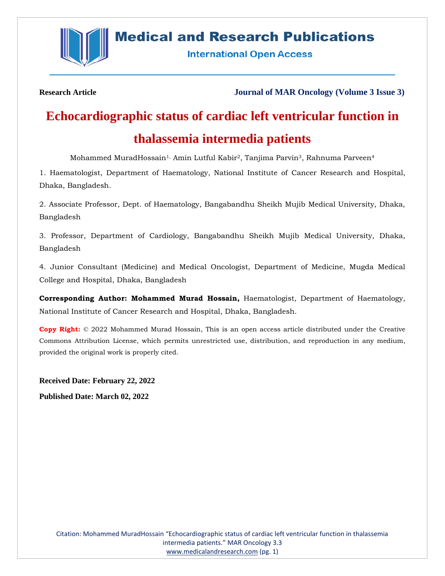

# **Medical and Research Publications**

**International Open Access** 

**Research Article Journal of MAR Oncology (Volume 3 Issue 3)**

# **Echocardiographic status of cardiac left ventricular function in thalassemia intermedia patients**

Mohammed MuradHossain<sup>1,</sup> Amin Lutful Kabir<sup>2</sup>, Tanjima Parvin<sup>3</sup>, Rahnuma Parveen<sup>4</sup>

1. Haematologist, Department of Haematology, National Institute of Cancer Research and Hospital, Dhaka, Bangladesh.

2. Associate Professor, Dept. of Haematology, Bangabandhu Sheikh Mujib Medical University, Dhaka, Bangladesh

3. Professor, Department of Cardiology, Bangabandhu Sheikh Mujib Medical University, Dhaka, Bangladesh

4. Junior Consultant (Medicine) and Medical Oncologist, Department of Medicine, Mugda Medical College and Hospital, Dhaka, Bangladesh

**Corresponding Author: Mohammed Murad Hossain,** Haematologist, Department of Haematology, National Institute of Cancer Research and Hospital, Dhaka, Bangladesh.

**Copy Right:** © 2022 Mohammed Murad Hossain, This is an open access article distributed under the Creative Commons Attribution License, which permits unrestricted use, distribution, and reproduction in any medium, provided the original work is properly cited.

**Received Date: February 22, 2022 Published Date: March 02, 2022**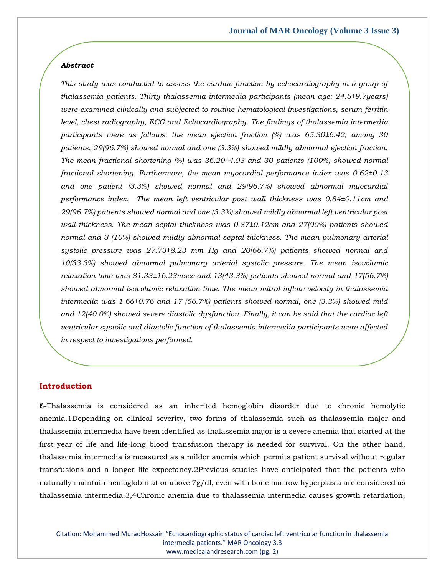#### *Abstract*

*This study was conducted to assess the cardiac function by echocardiography in a group of thalassemia patients. Thirty thalassemia intermedia participants (mean age: 24.5±9.7years) were examined clinically and subjected to routine hematological investigations, serum ferritin level, chest radiography, ECG and Echocardiography. The findings of thalassemia intermedia participants were as follows: the mean ejection fraction (%) was 65.30±6.42, among 30 patients, 29(96.7%) showed normal and one (3.3%) showed mildly abnormal ejection fraction. The mean fractional shortening (%) was 36.20±4.93 and 30 patients (100%) showed normal fractional shortening. Furthermore, the mean myocardial performance index was 0.62±0.13 and one patient (3.3%) showed normal and 29(96.7%) showed abnormal myocardial performance index. The mean left ventricular post wall thickness was 0.84±0.11cm and 29(96.7%) patients showed normal and one (3.3%) showed mildly abnormal left ventricular post wall thickness. The mean septal thickness was 0.87±0.12cm and 27(90%) patients showed normal and 3 (10%) showed mildly abnormal septal thickness. The mean pulmonary arterial systolic pressure was 27.73±8.23 mm Hg and 20(66.7%) patients showed normal and 10(33.3%) showed abnormal pulmonary arterial systolic pressure. The mean isovolumic relaxation time was 81.33±16.23msec and 13(43.3%) patients showed normal and 17(56.7%) showed abnormal isovolumic relaxation time. The mean mitral inflow velocity in thalassemia intermedia was 1.66±0.76 and 17 (56.7%) patients showed normal, one (3.3%) showed mild and 12(40.0%) showed severe diastolic dysfunction. Finally, it can be said that the cardiac left ventricular systolic and diastolic function of thalassemia intermedia participants were affected in respect to investigations performed.*

#### **Introduction**

ß-Thalassemia is considered as an inherited hemoglobin disorder due to chronic hemolytic anemia.1Depending on clinical severity, two forms of thalassemia such as thalassemia major and thalassemia intermedia have been identified as thalassemia major is a severe anemia that started at the first year of life and life-long blood transfusion therapy is needed for survival. On the other hand, thalassemia intermedia is measured as a milder anemia which permits patient survival without regular transfusions and a longer life expectancy.2Previous studies have anticipated that the patients who naturally maintain hemoglobin at or above 7g/dl, even with bone marrow hyperplasia are considered as thalassemia intermedia.3,4Chronic anemia due to thalassemia intermedia causes growth retardation,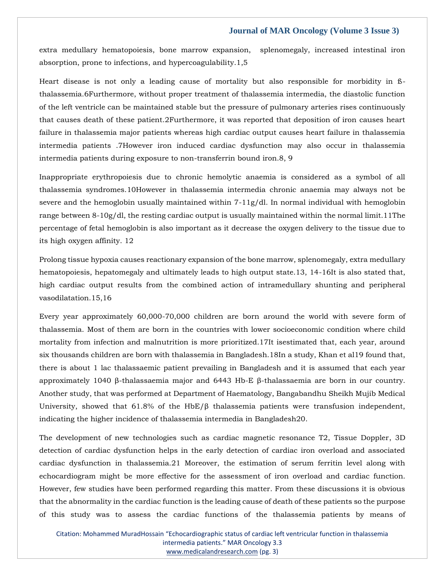extra medullary hematopoiesis, bone marrow expansion, splenomegaly, increased intestinal iron absorption, prone to infections, and hypercoagulability.1,5

Heart disease is not only a leading cause of mortality but also responsible for morbidity in ßthalassemia.6Furthermore, without proper treatment of thalassemia intermedia, the diastolic function of the left ventricle can be maintained stable but the pressure of pulmonary arteries rises continuously that causes death of these patient.2Furthermore, it was reported that deposition of iron causes heart failure in thalassemia major patients whereas high cardiac output causes heart failure in thalassemia intermedia patients .7However iron induced cardiac dysfunction may also occur in thalassemia intermedia patients during exposure to non-transferrin bound iron.8, 9

Inappropriate erythropoiesis due to chronic hemolytic anaemia is considered as a symbol of all thalassemia syndromes.10However in thalassemia intermedia chronic anaemia may always not be severe and the hemoglobin usually maintained within 7-11g/dl. In normal individual with hemoglobin range between 8-10g/dl, the resting cardiac output is usually maintained within the normal limit.11The percentage of fetal hemoglobin is also important as it decrease the oxygen delivery to the tissue due to its high oxygen affinity. 12

Prolong tissue hypoxia causes reactionary expansion of the bone marrow, splenomegaly, extra medullary hematopoiesis, hepatomegaly and ultimately leads to high output state.13, 14-16It is also stated that, high cardiac output results from the combined action of intramedullary shunting and peripheral vasodilatation.15,16

Every year approximately 60,000-70,000 children are born around the world with severe form of thalassemia. Most of them are born in the countries with lower socioeconomic condition where child mortality from infection and malnutrition is more prioritized.17It isestimated that, each year, around six thousands children are born with thalassemia in Bangladesh.18In a study, Khan et al19 found that, there is about 1 lac thalassaemic patient prevailing in Bangladesh and it is assumed that each year approximately 1040 β-thalassaemia major and 6443 Hb-E β-thalassaemia are born in our country. Another study, that was performed at Department of Haematology, Bangabandhu Sheikh Mujib Medical University, showed that 61.8% of the HbE/ $\beta$  thalassemia patients were transfusion independent, indicating the higher incidence of thalassemia intermedia in Bangladesh20.

The development of new technologies such as cardiac magnetic resonance T2, Tissue Doppler, 3D detection of cardiac dysfunction helps in the early detection of cardiac iron overload and associated cardiac dysfunction in thalassemia.21 Moreover, the estimation of serum ferritin level along with echocardiogram might be more effective for the assessment of iron overload and cardiac function. However, few studies have been performed regarding this matter. From these discussions it is obvious that the abnormality in the cardiac function is the leading cause of death of these patients so the purpose of this study was to assess the cardiac functions of the thalassemia patients by means of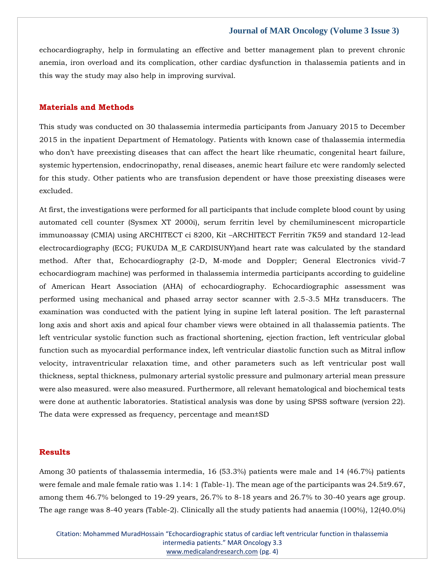echocardiography, help in formulating an effective and better management plan to prevent chronic anemia, iron overload and its complication, other cardiac dysfunction in thalassemia patients and in this way the study may also help in improving survival.

# **Materials and Methods**

This study was conducted on 30 thalassemia intermedia participants from January 2015 to December 2015 in the inpatient Department of Hematology. Patients with known case of thalassemia intermedia who don't have preexisting diseases that can affect the heart like rheumatic, congenital heart failure, systemic hypertension, endocrinopathy, renal diseases, anemic heart failure etc were randomly selected for this study. Other patients who are transfusion dependent or have those preexisting diseases were excluded.

At first, the investigations were performed for all participants that include complete blood count by using automated cell counter (Sysmex XT 2000i), serum ferritin level by chemiluminescent microparticle immunoassay (CMIA) using ARCHITECT ci 8200, Kit –ARCHITECT Ferritin 7K59 and standard 12-lead electrocardiography (ECG; FUKUDA M\_E CARDISUNY)and heart rate was calculated by the standard method. After that, Echocardiography (2-D, M-mode and Doppler; General Electronics vivid-7 echocardiogram machine) was performed in thalassemia intermedia participants according to guideline of American Heart Association (AHA) of echocardiography. Echocardiographic assessment was performed using mechanical and phased array sector scanner with 2.5-3.5 MHz transducers. The examination was conducted with the patient lying in supine left lateral position. The left parasternal long axis and short axis and apical four chamber views were obtained in all thalassemia patients. The left ventricular systolic function such as fractional shortening, ejection fraction, left ventricular global function such as myocardial performance index, left ventricular diastolic function such as Mitral inflow velocity, intraventricular relaxation time, and other parameters such as left ventricular post wall thickness, septal thickness, pulmonary arterial systolic pressure and pulmonary arterial mean pressure were also measured. were also measured. Furthermore, all relevant hematological and biochemical tests were done at authentic laboratories. Statistical analysis was done by using SPSS software (version 22). The data were expressed as frequency, percentage and mean±SD

# **Results**

Among 30 patients of thalassemia intermedia, 16 (53.3%) patients were male and 14 (46.7%) patients were female and male female ratio was 1.14: 1 (Table-1). The mean age of the participants was 24.5±9.67, among them 46.7% belonged to 19-29 years, 26.7% to 8-18 years and 26.7% to 30-40 years age group. The age range was 8-40 years (Table-2). Clinically all the study patients had anaemia (100%), 12(40.0%)

Citation: Mohammed MuradHossain "Echocardiographic status of cardiac left ventricular function in thalassemia intermedia patients." MAR Oncology 3.3 [www.medicalandresearch.com](http://www.medicalandresearch.com/) (pg. 4)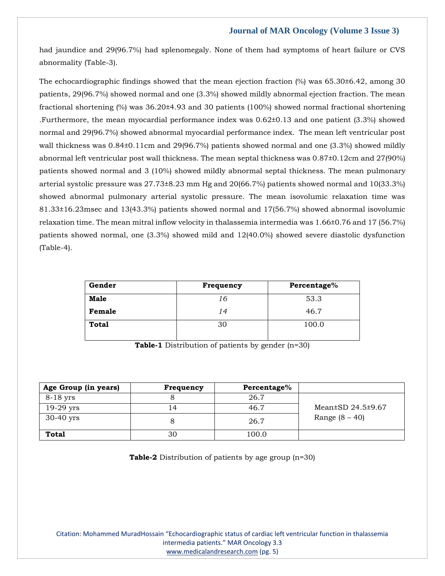had jaundice and 29(96.7%) had splenomegaly. None of them had symptoms of heart failure or CVS abnormality (Table-3).

The echocardiographic findings showed that the mean ejection fraction (%) was 65.30±6.42, among 30 patients, 29(96.7%) showed normal and one (3.3%) showed mildly abnormal ejection fraction. The mean fractional shortening (%) was 36.20±4.93 and 30 patients (100%) showed normal fractional shortening .Furthermore, the mean myocardial performance index was 0.62±0.13 and one patient (3.3%) showed normal and 29(96.7%) showed abnormal myocardial performance index. The mean left ventricular post wall thickness was  $0.84\pm0.11$ cm and  $29(96.7%)$  patients showed normal and one (3.3%) showed mildly abnormal left ventricular post wall thickness. The mean septal thickness was 0.87±0.12cm and 27(90%) patients showed normal and 3 (10%) showed mildly abnormal septal thickness. The mean pulmonary arterial systolic pressure was 27.73±8.23 mm Hg and 20(66.7%) patients showed normal and 10(33.3%) showed abnormal pulmonary arterial systolic pressure. The mean isovolumic relaxation time was 81.33±16.23msec and 13(43.3%) patients showed normal and 17(56.7%) showed abnormal isovolumic relaxation time. The mean mitral inflow velocity in thalassemia intermedia was 1.66±0.76 and 17 (56.7%) patients showed normal, one (3.3%) showed mild and 12(40.0%) showed severe diastolic dysfunction (Table-4).

| Gender       | Frequency | Percentage% |  |
|--------------|-----------|-------------|--|
| Male         | 16        | 53.3        |  |
| Female       | 14        | 46.7        |  |
| <b>Total</b> | ЗС        | 100.0       |  |

**Table-1** Distribution of patients by gender (n=30)

| Age Group (in years) | Frequency | Percentage% |                               |
|----------------------|-----------|-------------|-------------------------------|
| $8-18$ yrs           |           | 26.7        |                               |
| $19-29$ yrs          |           | 46.7        | Mean $\pm$ SD 24.5 $\pm$ 9.67 |
| $30-40$ yrs          |           | 26.7        | Range $(8 - 40)$              |
| <b>Total</b>         | 30        | 100.0       |                               |

**Table-2** Distribution of patients by age group (n=30)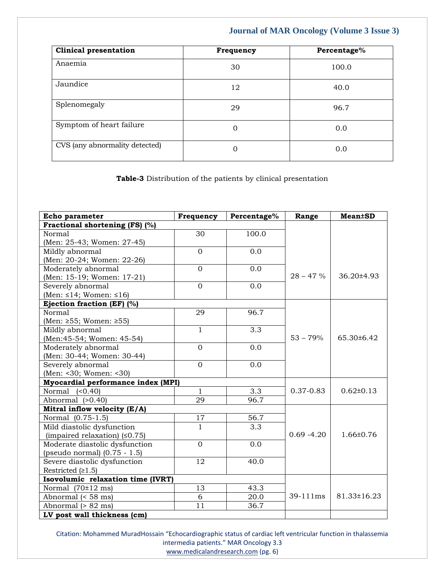| <b>Clinical presentation</b>   | Frequency | Percentage% |
|--------------------------------|-----------|-------------|
| Anaemia                        | 30        | 100.0       |
| Jaundice                       | 12        | 40.0        |
| Splenomegaly                   | 29        | 96.7        |
| Symptom of heart failure       | $\Omega$  | 0.0         |
| CVS (any abnormality detected) | 0         | 0.0         |

**Table-3** Distribution of the patients by clinical presentation

| Echo parameter                       | Frequency      | Percentage% | Range         | <b>Mean±SD</b>  |
|--------------------------------------|----------------|-------------|---------------|-----------------|
| Fractional shortening (FS) (%)       |                |             |               |                 |
| Normal                               | 30             | 100.0       |               |                 |
| (Men: 25-43; Women: 27-45)           |                |             |               |                 |
| Mildly abnormal                      | $\overline{0}$ | 0.0         |               |                 |
| (Men: 20-24; Women: 22-26)           |                |             |               |                 |
| Moderately abnormal                  | $\overline{0}$ | 0.0         |               |                 |
| (Men: 15-19; Women: 17-21)           |                |             | $28 - 47 \%$  | 36.20±4.93      |
| Severely abnormal                    | $\overline{0}$ | 0.0         |               |                 |
| (Men: $\leq$ 14; Women: $\leq$ 16)   |                |             |               |                 |
| Ejection fraction (EF) (%)           |                |             |               |                 |
| Normal                               | 29             | 96.7        |               |                 |
| (Men: $\geq 55$ ; Women: $\geq 55$ ) |                |             |               |                 |
| Mildly abnormal                      | $\mathbf{1}$   | 3.3         |               |                 |
| (Men: 45-54; Women: 45-54)           |                |             | $53 - 79%$    | 65.30±6.42      |
| Moderately abnormal                  | $\Omega$       | 0.0         |               |                 |
| (Men: 30-44; Women: 30-44)           |                |             |               |                 |
| Severely abnormal                    | $\Omega$       | 0.0         |               |                 |
| (Men: <30; Women: <30)               |                |             |               |                 |
| Myocardial performance index (MPI)   |                |             |               |                 |
| Normal $(0.40)$                      | $\mathbf{1}$   | 3.3         | $0.37 - 0.83$ | $0.62 \pm 0.13$ |
| Abnormal (>0.40)                     | 29             | 96.7        |               |                 |
| Mitral inflow velocity (E/A)         |                |             |               |                 |
| Normal (0.75-1.5)                    | 17             | 56.7        |               |                 |
| Mild diastolic dysfunction           | $\overline{1}$ | 3.3         |               |                 |
| (impaired relaxation) $(50.75)$      |                |             | $0.69 - 4.20$ | 1.66±0.76       |
| Moderate diastolic dysfunction       | $\overline{0}$ | 0.0         |               |                 |
| (pseudo normal) (0.75 - 1.5)         |                |             |               |                 |
| Severe diastolic dysfunction         | 12             | 40.0        |               |                 |
| Restricted $(21.5)$                  |                |             |               |                 |
| Isovolumic relaxation time (IVRT)    |                |             |               |                 |
| Normal $(70 \pm 12 \text{ ms})$      | 13             | 43.3        |               |                 |
| Abnormal (< 58 ms)                   | 6              | 20.0        | 39-111ms      | 81.33±16.23     |
| Abnormal (> 82 ms)                   | 11             | 36.7        |               |                 |
| LV post wall thickness (cm)          |                |             |               |                 |

Citation: Mohammed MuradHossain "Echocardiographic status of cardiac left ventricular function in thalassemia intermedia patients." MAR Oncology 3.3 [www.medicalandresearch.com](http://www.medicalandresearch.com/) (pg. 6)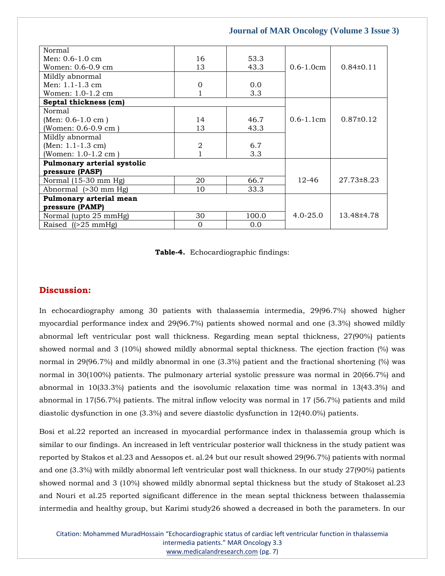| Normal                      |                |       |                |               |
|-----------------------------|----------------|-------|----------------|---------------|
| Men: $0.6-1.0$ cm           | 16             | 53.3  |                |               |
| Women: 0.6-0.9 cm           | 13             | 43.3  | $0.6 - 1.0$ cm | $0.84\pm0.11$ |
| Mildly abnormal             |                |       |                |               |
| Men: $1.1 - 1.3$ cm         | $\overline{0}$ | 0.0   |                |               |
| Women: $1.0-1.2$ cm         | 1              | 3.3   |                |               |
| Septal thickness (cm)       |                |       |                |               |
| Normal                      |                |       |                |               |
| $(Men: 0.6-1.0 cm)$         | 14             | 46.7  | $0.6 - 1.1$ cm | $0.87\pm0.12$ |
| (Women: 0.6-0.9 cm)         | 13             | 43.3  |                |               |
| Mildly abnormal             |                |       |                |               |
| (Men: $1.1 - 1.3$ cm)       | $\overline{2}$ | 6.7   |                |               |
| (Women: $1.0-1.2$ cm)       |                | 3.3   |                |               |
| Pulmonary arterial systolic |                |       |                |               |
| pressure (PASP)             |                |       |                |               |
| Normal (15-30 mm Hg)        | 20             | 66.7  | $12 - 46$      | 27.73±8.23    |
| Abnormal (>30 mm Hg)        | 10             | 33.3  |                |               |
| Pulmonary arterial mean     |                |       |                |               |
| pressure (PAMP)             |                |       |                |               |
| Normal (upto 25 mmHg)       | 30             | 100.0 | $4.0 - 25.0$   | 13.48±4.78    |
| Raised $(25 \text{ mmHg})$  | $\mathbf{0}$   | 0.0   |                |               |

**Table-4.** Echocardiographic findings:

# **Discussion:**

In echocardiography among 30 patients with thalassemia intermedia, 29(96.7%) showed higher myocardial performance index and 29(96.7%) patients showed normal and one (3.3%) showed mildly abnormal left ventricular post wall thickness. Regarding mean septal thickness, 27(90%) patients showed normal and 3 (10%) showed mildly abnormal septal thickness. The ejection fraction (%) was normal in 29(96.7%) and mildly abnormal in one (3.3%) patient and the fractional shortening (%) was normal in 30(100%) patients. The pulmonary arterial systolic pressure was normal in 20(66.7%) and abnormal in 10(33.3%) patients and the isovolumic relaxation time was normal in 13(43.3%) and abnormal in 17(56.7%) patients. The mitral inflow velocity was normal in 17 (56.7%) patients and mild diastolic dysfunction in one (3.3%) and severe diastolic dysfunction in 12(40.0%) patients.

Bosi et al.22 reported an increased in myocardial performance index in thalassemia group which is similar to our findings. An increased in left ventricular posterior wall thickness in the study patient was reported by Stakos et al.23 and Aessopos et. al.24 but our result showed 29(96.7%) patients with normal and one (3.3%) with mildly abnormal left ventricular post wall thickness. In our study 27(90%) patients showed normal and 3 (10%) showed mildly abnormal septal thickness but the study of Stakoset al.23 and Nouri et al.25 reported significant difference in the mean septal thickness between thalassemia intermedia and healthy group, but Karimi study26 showed a decreased in both the parameters. In our

Citation: Mohammed MuradHossain "Echocardiographic status of cardiac left ventricular function in thalassemia intermedia patients." MAR Oncology 3.3 [www.medicalandresearch.com](http://www.medicalandresearch.com/) (pg. 7)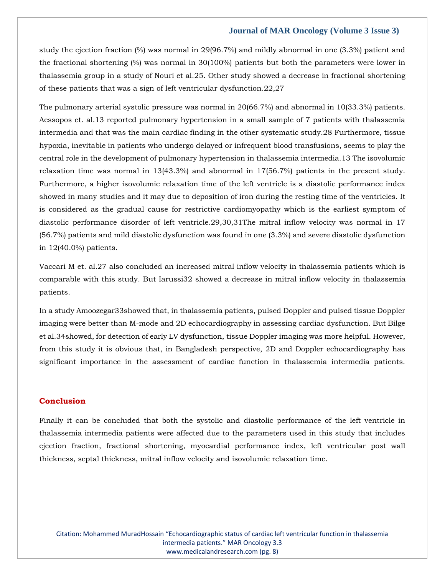study the ejection fraction (%) was normal in 29(96.7%) and mildly abnormal in one (3.3%) patient and the fractional shortening (%) was normal in 30(100%) patients but both the parameters were lower in thalassemia group in a study of Nouri et al.25. Other study showed a decrease in fractional shortening of these patients that was a sign of left ventricular dysfunction.22,27

The pulmonary arterial systolic pressure was normal in 20(66.7%) and abnormal in 10(33.3%) patients. Aessopos et. al.13 reported pulmonary hypertension in a small sample of 7 patients with thalassemia intermedia and that was the main cardiac finding in the other systematic study.28 Furthermore, tissue hypoxia, inevitable in patients who undergo delayed or infrequent blood transfusions, seems to play the central role in the development of pulmonary hypertension in thalassemia intermedia.13 The isovolumic relaxation time was normal in 13(43.3%) and abnormal in 17(56.7%) patients in the present study. Furthermore, a higher isovolumic relaxation time of the left ventricle is a diastolic performance index showed in many studies and it may due to deposition of iron during the resting time of the ventricles. It is considered as the gradual cause for restrictive cardiomyopathy which is the earliest symptom of diastolic performance disorder of left ventricle.29,30,31The mitral inflow velocity was normal in 17 (56.7%) patients and mild diastolic dysfunction was found in one (3.3%) and severe diastolic dysfunction in 12(40.0%) patients.

Vaccari M et. al.27 also concluded an increased mitral inflow velocity in thalassemia patients which is comparable with this study. But Iarussi32 showed a decrease in mitral inflow velocity in thalassemia patients.

In a study Amoozegar33showed that, in thalassemia patients, pulsed Doppler and pulsed tissue Doppler imaging were better than M-mode and 2D echocardiography in assessing cardiac dysfunction. But Bilge et al.34showed, for detection of early LV dysfunction, tissue Doppler imaging was more helpful. However, from this study it is obvious that, in Bangladesh perspective, 2D and Doppler echocardiography has significant importance in the assessment of cardiac function in thalassemia intermedia patients.

# **Conclusion**

Finally it can be concluded that both the systolic and diastolic performance of the left ventricle in thalassemia intermedia patients were affected due to the parameters used in this study that includes ejection fraction, fractional shortening, myocardial performance index, left ventricular post wall thickness, septal thickness, mitral inflow velocity and isovolumic relaxation time.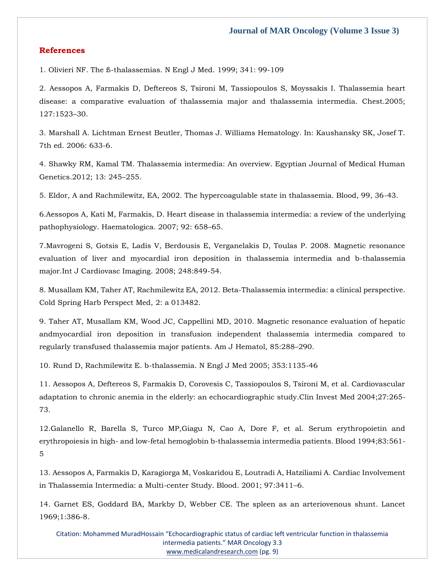## **References**

[1. Olivieri NF. The ß-thalassemias. N Engl J Med. 1999; 341: 99-109](https://www.google.com/search?q=The+%C3%9F-thalassemias&oq=The+%C3%9F-thalassemias&aqs=chrome..69i57j0i22i30j0i390l3.485j0j7&sourceid=chrome&ie=UTF-8)

[2. Aessopos A, Farmakis D, Deftereos S, Tsironi M, Tassiopoulos S, Moyssakis I. Thalassemia heart](https://www.google.com/search?q=Thalassemia+heart+disease%3A+a+comparative+evaluation+of+thalassemia+major+and+thalassemia+intermedia&sxsrf=APq-WBuV6kkA449KCey0V25JpPNqbYPwXg%3A1645770917066&ei=pXgYYs_CA7ONseMP_KSeeA&ved=0ahUKEwiPqZK3npr2AhWzRmwGHXySBw8Q4dUDCA4&oq=Thalassemia+heart+disease%3A+a+comparative+evaluation+of+thalassemia+major+and+thalassemia+intermedia&gs_lcp=Cgdnd3Mtd2l6EAw6BwgjEOoCECdKBAhBGABKBAhGGABQhANYhANgzgZoAXABeACAAYoBiAGKAZIBAzAuMZgBAKABAaABArABCsABAQ&sclient=gws-wiz)  [disease: a comparative evaluation of thalassemia major and thalassemia intermedia. Chest.2005;](https://www.google.com/search?q=Thalassemia+heart+disease%3A+a+comparative+evaluation+of+thalassemia+major+and+thalassemia+intermedia&sxsrf=APq-WBuV6kkA449KCey0V25JpPNqbYPwXg%3A1645770917066&ei=pXgYYs_CA7ONseMP_KSeeA&ved=0ahUKEwiPqZK3npr2AhWzRmwGHXySBw8Q4dUDCA4&oq=Thalassemia+heart+disease%3A+a+comparative+evaluation+of+thalassemia+major+and+thalassemia+intermedia&gs_lcp=Cgdnd3Mtd2l6EAw6BwgjEOoCECdKBAhBGABKBAhGGABQhANYhANgzgZoAXABeACAAYoBiAGKAZIBAzAuMZgBAKABAaABArABCsABAQ&sclient=gws-wiz)  [127:1523](https://www.google.com/search?q=Thalassemia+heart+disease%3A+a+comparative+evaluation+of+thalassemia+major+and+thalassemia+intermedia&sxsrf=APq-WBuV6kkA449KCey0V25JpPNqbYPwXg%3A1645770917066&ei=pXgYYs_CA7ONseMP_KSeeA&ved=0ahUKEwiPqZK3npr2AhWzRmwGHXySBw8Q4dUDCA4&oq=Thalassemia+heart+disease%3A+a+comparative+evaluation+of+thalassemia+major+and+thalassemia+intermedia&gs_lcp=Cgdnd3Mtd2l6EAw6BwgjEOoCECdKBAhBGABKBAhGGABQhANYhANgzgZoAXABeACAAYoBiAGKAZIBAzAuMZgBAKABAaABArABCsABAQ&sclient=gws-wiz)–30.

[3. Marshall A. Lichtman Ernest Beutler, Thomas J. Williams Hematology. In: Kaushansky SK, Josef T.](https://www.google.com/search?q=Thalassemia+heart+disease%3A+a+comparative+evaluation+of+thalassemia+major+and+thalassemia+intermedia&sxsrf=APq-WBuV6kkA449KCey0V25JpPNqbYPwXg%3A1645770917066&ei=pXgYYs_CA7ONseMP_KSeeA&ved=0ahUKEwiPqZK3npr2AhWzRmwGHXySBw8Q4dUDCA4&oq=Thalassemia+heart+disease%3A+a+comparative+evaluation+of+thalassemia+major+and+thalassemia+intermedia&gs_lcp=Cgdnd3Mtd2l6EAw6BwgjEOoCECdKBAhBGABKBAhGGABQhANYhANgzgZoAXABeACAAYoBiAGKAZIBAzAuMZgBAKABAaABArABCsABAQ&sclient=gws-wiz)  [7th ed. 2006: 633-6.](https://www.google.com/search?q=Thalassemia+heart+disease%3A+a+comparative+evaluation+of+thalassemia+major+and+thalassemia+intermedia&sxsrf=APq-WBuV6kkA449KCey0V25JpPNqbYPwXg%3A1645770917066&ei=pXgYYs_CA7ONseMP_KSeeA&ved=0ahUKEwiPqZK3npr2AhWzRmwGHXySBw8Q4dUDCA4&oq=Thalassemia+heart+disease%3A+a+comparative+evaluation+of+thalassemia+major+and+thalassemia+intermedia&gs_lcp=Cgdnd3Mtd2l6EAw6BwgjEOoCECdKBAhBGABKBAhGGABQhANYhANgzgZoAXABeACAAYoBiAGKAZIBAzAuMZgBAKABAaABArABCsABAQ&sclient=gws-wiz)

[4. Shawky RM, Kamal TM. Thalassemia intermedia: An overview. Egyptian Journal of Medical Human](https://www.google.com/search?q=Thalassemia+intermedia%3A+An+overview&sxsrf=APq-WBuUpBerXY4e7gEbcV80d1cG6VTYJw%3A1645770933004&ei=tHgYYtHGPIWYseMPk96d2A8&ved=0ahUKEwjR8N6-npr2AhUFTGwGHRNvB_sQ4dUDCA4&oq=Thalassemia+intermedia%3A+An+overview&gs_lcp=Cgdnd3Mtd2l6EAwyBQgAEKIEMgUIABCiBDIFCAAQogQ6BwgjEOoCECdKBAhBGABKBAhGGABQrgRYrgRgsgpoAXAAeACAAcEDiAHBA5IBAzQtMZgBAKABAaABArABCsABAQ&sclient=gws-wiz)  [Genetics.2012; 13: 245](https://www.google.com/search?q=Thalassemia+intermedia%3A+An+overview&sxsrf=APq-WBuUpBerXY4e7gEbcV80d1cG6VTYJw%3A1645770933004&ei=tHgYYtHGPIWYseMPk96d2A8&ved=0ahUKEwjR8N6-npr2AhUFTGwGHRNvB_sQ4dUDCA4&oq=Thalassemia+intermedia%3A+An+overview&gs_lcp=Cgdnd3Mtd2l6EAwyBQgAEKIEMgUIABCiBDIFCAAQogQ6BwgjEOoCECdKBAhBGABKBAhGGABQrgRYrgRgsgpoAXAAeACAAcEDiAHBA5IBAzQtMZgBAKABAaABArABCsABAQ&sclient=gws-wiz)–255.

[5. Eldor, A and Rachmilewitz, EA, 2002. The hypercoagulable state in thalassemia. Blood, 99, 36-43.](https://www.google.com/search?q=The+hypercoagulable+state+in+thalassemia&sxsrf=APq-WBvRP2xBifF6RoYnO-xZ9T7qsEAGHQ%3A1645770974030&ei=3ngYYp6bAd2TseMP9eCKmA4&ved=0ahUKEwiegqfSnpr2AhXdSWwGHXWwAuMQ4dUDCA4&oq=The+hypercoagulable+state+in+thalassemia&gs_lcp=Cgdnd3Mtd2l6EAwyBggAEBYQHjoHCCMQ6gIQJ0oECEEYAEoECEYYAFDnAljnAmCIB2gBcAF4AIABjgGIAY4BkgEDMC4xmAEAoAEBoAECsAEKwAEB&sclient=gws-wiz)

[6.Aessopos A, Kati M, Farmakis, D. Heart disease in thalassemia intermedia: a review of the underlying](https://www.google.com/search?q=Heart+disease+in+thalassemia+intermedia%3A+a+review+of+the+underlying+pathophysiology&sxsrf=APq-WBv82QbmgrM6fMAlz-MlwgqWmFa2gw%3A1645770987452&ei=63gYYs7fGsGYseMP5JScmA0&ved=0ahUKEwiOgdrYnpr2AhVBTGwGHWQKB9MQ4dUDCA4&oq=Heart+disease+in+thalassemia+intermedia%3A+a+review+of+the+underlying+pathophysiology&gs_lcp=Cgdnd3Mtd2l6EAw6BwgjEOoCECdKBAhBGABKBAhGGABQiwRYiwRgrAhoAXABeACAAWGIAWGSAQExmAEAoAEBoAECsAEKwAEB&sclient=gws-wiz)  [pathophysiology. Haematologica. 2007; 92: 658](https://www.google.com/search?q=Heart+disease+in+thalassemia+intermedia%3A+a+review+of+the+underlying+pathophysiology&sxsrf=APq-WBv82QbmgrM6fMAlz-MlwgqWmFa2gw%3A1645770987452&ei=63gYYs7fGsGYseMP5JScmA0&ved=0ahUKEwiOgdrYnpr2AhVBTGwGHWQKB9MQ4dUDCA4&oq=Heart+disease+in+thalassemia+intermedia%3A+a+review+of+the+underlying+pathophysiology&gs_lcp=Cgdnd3Mtd2l6EAw6BwgjEOoCECdKBAhBGABKBAhGGABQiwRYiwRgrAhoAXABeACAAWGIAWGSAQExmAEAoAEBoAECsAEKwAEB&sclient=gws-wiz)–65.

[7.Mavrogeni S, Gotsis E, Ladis V, Berdousis E, Verganelakis D, Toulas P. 2008. Magnetic resonance](https://www.google.com/search?q=Magnetic+resonance+evaluation+of+liver+and+myocardial+iron+deposition+in+thalassemia+intermedia+and+b-thalassemia+major&sxsrf=APq-WBv__4l1LeBn2IjfJBo2BBh5h3mkLg%3A1645771002770&ei=-ngYYv61LoqTseMPrryyuAM&ved=0ahUKEwj-moHgnpr2AhWKSWwGHS6eDDcQ4dUDCA4&oq=Magnetic+resonance+evaluation+of+liver+and+myocardial+iron+deposition+in+thalassemia+intermedia+and+b-thalassemia+major&gs_lcp=Cgdnd3Mtd2l6EAwyBwgjEOoCECcyBwgjEOoCECcyBwgjEOoCECcyBwgjEOoCECcyBwgjEOoCECcyBwgjEOoCECcyBwgjEOoCECcyBwgjEOoCECcyBwgjEOoCECcyBwgjEOoCECdKBAhBGABKBAhGGABQ9QJY9QJgmghoAXABeACAAQCIAQCSAQCYAQCgAQGgAQKwAQrAAQE&sclient=gws-wiz)  [evaluation of liver and myocardial iron deposition in thalassemia intermedia and b-thalassemia](https://www.google.com/search?q=Magnetic+resonance+evaluation+of+liver+and+myocardial+iron+deposition+in+thalassemia+intermedia+and+b-thalassemia+major&sxsrf=APq-WBv__4l1LeBn2IjfJBo2BBh5h3mkLg%3A1645771002770&ei=-ngYYv61LoqTseMPrryyuAM&ved=0ahUKEwj-moHgnpr2AhWKSWwGHS6eDDcQ4dUDCA4&oq=Magnetic+resonance+evaluation+of+liver+and+myocardial+iron+deposition+in+thalassemia+intermedia+and+b-thalassemia+major&gs_lcp=Cgdnd3Mtd2l6EAwyBwgjEOoCECcyBwgjEOoCECcyBwgjEOoCECcyBwgjEOoCECcyBwgjEOoCECcyBwgjEOoCECcyBwgjEOoCECcyBwgjEOoCECcyBwgjEOoCECcyBwgjEOoCECdKBAhBGABKBAhGGABQ9QJY9QJgmghoAXABeACAAQCIAQCSAQCYAQCgAQGgAQKwAQrAAQE&sclient=gws-wiz)  [major.Int J Cardiovasc Imaging. 2008; 248:849-54.](https://www.google.com/search?q=Magnetic+resonance+evaluation+of+liver+and+myocardial+iron+deposition+in+thalassemia+intermedia+and+b-thalassemia+major&sxsrf=APq-WBv__4l1LeBn2IjfJBo2BBh5h3mkLg%3A1645771002770&ei=-ngYYv61LoqTseMPrryyuAM&ved=0ahUKEwj-moHgnpr2AhWKSWwGHS6eDDcQ4dUDCA4&oq=Magnetic+resonance+evaluation+of+liver+and+myocardial+iron+deposition+in+thalassemia+intermedia+and+b-thalassemia+major&gs_lcp=Cgdnd3Mtd2l6EAwyBwgjEOoCECcyBwgjEOoCECcyBwgjEOoCECcyBwgjEOoCECcyBwgjEOoCECcyBwgjEOoCECcyBwgjEOoCECcyBwgjEOoCECcyBwgjEOoCECcyBwgjEOoCECdKBAhBGABKBAhGGABQ9QJY9QJgmghoAXABeACAAQCIAQCSAQCYAQCgAQGgAQKwAQrAAQE&sclient=gws-wiz)

[8. Musallam KM, Taher AT, Rachmilewitz EA, 2012. Beta-Thalassemia intermedia: a clinical perspective.](https://www.google.com/search?q=Beta-Thalassemia+intermedia%3A+a+clinical+perspective&sxsrf=APq-WBthvwr31kfoFrtdX0RYA_o5MH1McQ%3A1645771032178&ei=GHkYYoSUCveQseMPhf6J8Aw&ved=0ahUKEwiEgITunpr2AhV3SGwGHQV_As4Q4dUDCA4&oq=Beta-Thalassemia+intermedia%3A+a+clinical+perspective&gs_lcp=Cgdnd3Mtd2l6EAwyBQghEKABOgcIIxDqAhAnSgQIQRgASgQIRhgAUOEDWOEDYMsHaAFwAHgAgAGPAYgBjwGSAQMwLjGYAQCgAQGgAQKwAQrAAQE&sclient=gws-wiz)  [Cold Spring Harb Perspect Med,](https://www.google.com/search?q=Beta-Thalassemia+intermedia%3A+a+clinical+perspective&sxsrf=APq-WBthvwr31kfoFrtdX0RYA_o5MH1McQ%3A1645771032178&ei=GHkYYoSUCveQseMPhf6J8Aw&ved=0ahUKEwiEgITunpr2AhV3SGwGHQV_As4Q4dUDCA4&oq=Beta-Thalassemia+intermedia%3A+a+clinical+perspective&gs_lcp=Cgdnd3Mtd2l6EAwyBQghEKABOgcIIxDqAhAnSgQIQRgASgQIRhgAUOEDWOEDYMsHaAFwAHgAgAGPAYgBjwGSAQMwLjGYAQCgAQGgAQKwAQrAAQE&sclient=gws-wiz) 2: a 013482.

[9. Taher AT, Musallam KM, Wood JC, Cappellini MD, 2010. Magnetic resonance evaluation of hepatic](https://www.google.com/search?q=Magnetic+resonance+evaluation+of+hepatic+andmyocardial+iron+deposition+in+transfusion+independent+thalassemia+intermedia+compared+to+regularly+transfused+thalassemia+major+patients&sxsrf=APq-WBv5o573BHN-ljFvcCFUVQqGPbUM0A%3A1645771044770&ei=JHkYYprBLoeYseMPs4iWqAM&ved=0ahUKEwia44T0npr2AhUHTGwGHTOEBTUQ4dUDCA4&oq=Magnetic+resonance+evaluation+of+hepatic+andmyocardial+iron+deposition+in+transfusion+independent+thalassemia+intermedia+compared+to+regularly+transfused+thalassemia+major+patients&gs_lcp=Cgdnd3Mtd2l6EAwyBwgjEOoCECcyBwgjEOoCECcyBwgjEOoCECcyBwgjEOoCECcyBwgjEOoCECcyBwgjEOoCECcyBwgjEOoCECcyBwgjEOoCECcyBwgjEOoCECcyBwgjEOoCECdKBAhBGABKBAhGGABQ5gdY5gdgxAtoAXABeACAAQCIAQCSAQCYAQCgAQGgAQKwAQrAAQE&sclient=gws-wiz)  [andmyocardial iron deposition in transfusion independent thalassemia intermedia compared to](https://www.google.com/search?q=Magnetic+resonance+evaluation+of+hepatic+andmyocardial+iron+deposition+in+transfusion+independent+thalassemia+intermedia+compared+to+regularly+transfused+thalassemia+major+patients&sxsrf=APq-WBv5o573BHN-ljFvcCFUVQqGPbUM0A%3A1645771044770&ei=JHkYYprBLoeYseMPs4iWqAM&ved=0ahUKEwia44T0npr2AhUHTGwGHTOEBTUQ4dUDCA4&oq=Magnetic+resonance+evaluation+of+hepatic+andmyocardial+iron+deposition+in+transfusion+independent+thalassemia+intermedia+compared+to+regularly+transfused+thalassemia+major+patients&gs_lcp=Cgdnd3Mtd2l6EAwyBwgjEOoCECcyBwgjEOoCECcyBwgjEOoCECcyBwgjEOoCECcyBwgjEOoCECcyBwgjEOoCECcyBwgjEOoCECcyBwgjEOoCECcyBwgjEOoCECcyBwgjEOoCECdKBAhBGABKBAhGGABQ5gdY5gdgxAtoAXABeACAAQCIAQCSAQCYAQCgAQGgAQKwAQrAAQE&sclient=gws-wiz)  [regularly transfused thalassemia major patients. Am J](https://www.google.com/search?q=Magnetic+resonance+evaluation+of+hepatic+andmyocardial+iron+deposition+in+transfusion+independent+thalassemia+intermedia+compared+to+regularly+transfused+thalassemia+major+patients&sxsrf=APq-WBv5o573BHN-ljFvcCFUVQqGPbUM0A%3A1645771044770&ei=JHkYYprBLoeYseMPs4iWqAM&ved=0ahUKEwia44T0npr2AhUHTGwGHTOEBTUQ4dUDCA4&oq=Magnetic+resonance+evaluation+of+hepatic+andmyocardial+iron+deposition+in+transfusion+independent+thalassemia+intermedia+compared+to+regularly+transfused+thalassemia+major+patients&gs_lcp=Cgdnd3Mtd2l6EAwyBwgjEOoCECcyBwgjEOoCECcyBwgjEOoCECcyBwgjEOoCECcyBwgjEOoCECcyBwgjEOoCECcyBwgjEOoCECcyBwgjEOoCECcyBwgjEOoCECcyBwgjEOoCECdKBAhBGABKBAhGGABQ5gdY5gdgxAtoAXABeACAAQCIAQCSAQCYAQCgAQGgAQKwAQrAAQE&sclient=gws-wiz) Hematol, 85:288–290.

[10. Rund D, Rachmilewitz E. b-thalassemia. N Engl J Med 2005; 353:1135-46](https://www.google.com/search?q=b-thalassemia&sxsrf=APq-WBvVMwW6DxRb0bh-2fTapdReuDAxTA%3A1645771060286&ei=NHkYYvzwENiUseMP44q6yAc&ved=0ahUKEwj82rf7npr2AhVYSmwGHWOFDnkQ4dUDCA4&oq=b-thalassemia&gs_lcp=Cgdnd3Mtd2l6EAwyBQgAEJECMgUIABCRAjIFCAAQkQIyBQgAEIAEMgUIABCABDIFCAAQgAQyBAgAEB4yBAgAEB4yBAgAEB4yBAgAEB46BwgjEOoCECdKBAhBGABKBAhGGABQuwJYuwJg_QVoAXABeACAAX6IAX6SAQMwLjGYAQCgAQGgAQKwAQrAAQE&sclient=gws-wiz)

[11. Aessopos A, Deftereos S, Farmakis D, Corovesis C, Tassiopoulos S, Tsironi M, et al. Cardiovascular](https://www.google.com/search?q=Cardiovascular+adaptation+to+chronic+anemia+in+the+elderly%3A+an+echocardiographic+study&sxsrf=APq-WBu1uZM1orWmQlwKAsczcfM5k8YCeg%3A1645771073188&ei=QXkYYo3lCvKUseMP_sC-yAg&ved=0ahUKEwjNicuBn5r2AhVySmwGHX6gD4kQ4dUDCA4&oq=Cardiovascular+adaptation+to+chronic+anemia+in+the+elderly%3A+an+echocardiographic+study&gs_lcp=Cgdnd3Mtd2l6EAw6BwgjEOoCECdKBAhBGABKBAhGGABQ2QJY2QJggwZoAXABeACAAZEBiAGRAZIBAzAuMZgBAKABAaABArABCsABAQ&sclient=gws-wiz)  [adaptation to chronic anemia in the elderly: an echocardiographic study.Clin Invest Med 2004;27:265-](https://www.google.com/search?q=Cardiovascular+adaptation+to+chronic+anemia+in+the+elderly%3A+an+echocardiographic+study&sxsrf=APq-WBu1uZM1orWmQlwKAsczcfM5k8YCeg%3A1645771073188&ei=QXkYYo3lCvKUseMP_sC-yAg&ved=0ahUKEwjNicuBn5r2AhVySmwGHX6gD4kQ4dUDCA4&oq=Cardiovascular+adaptation+to+chronic+anemia+in+the+elderly%3A+an+echocardiographic+study&gs_lcp=Cgdnd3Mtd2l6EAw6BwgjEOoCECdKBAhBGABKBAhGGABQ2QJY2QJggwZoAXABeACAAZEBiAGRAZIBAzAuMZgBAKABAaABArABCsABAQ&sclient=gws-wiz) [73.](https://www.google.com/search?q=Cardiovascular+adaptation+to+chronic+anemia+in+the+elderly%3A+an+echocardiographic+study&sxsrf=APq-WBu1uZM1orWmQlwKAsczcfM5k8YCeg%3A1645771073188&ei=QXkYYo3lCvKUseMP_sC-yAg&ved=0ahUKEwjNicuBn5r2AhVySmwGHX6gD4kQ4dUDCA4&oq=Cardiovascular+adaptation+to+chronic+anemia+in+the+elderly%3A+an+echocardiographic+study&gs_lcp=Cgdnd3Mtd2l6EAw6BwgjEOoCECdKBAhBGABKBAhGGABQ2QJY2QJggwZoAXABeACAAZEBiAGRAZIBAzAuMZgBAKABAaABArABCsABAQ&sclient=gws-wiz)

[12.Galanello R, Barella S, Turco MP,Giagu N, Cao A, Dore F, et al. Serum erythropoietin and](https://www.google.com/search?q=Serum+erythropoietin+and+erythropoiesis+in+high-+and+low-fetal+hemoglobin+b-thalassemia+intermedia+patients&sxsrf=APq-WBveVhH3ElWyNMpuJ7iMeag9jr2MCA%3A1645771087424&ei=T3kYYt2vGZOUseMPu7yEyAI&ved=0ahUKEwidk7CIn5r2AhUTSmwGHTseASkQ4dUDCA4&oq=Serum+erythropoietin+and+erythropoiesis+in+high-+and+low-fetal+hemoglobin+b-thalassemia+intermedia+patients&gs_lcp=Cgdnd3Mtd2l6EAwyBwgjEOoCECcyBwgjEOoCECcyBwgjEOoCECcyBwgjEOoCECcyBwgjEOoCECcyBwgjEOoCECcyBwgjEOoCECcyBwgjEOoCECcyBwgjEOoCECcyBwgjEOoCECdKBAhBGABKBAhGGABQrQNYrQNg2QdoAXAAeACAAQCIAQCSAQCYAQCgAQGgAQKwAQrAAQE&sclient=gws-wiz)  erythropoiesis in high- [and low-fetal hemoglobin b-thalassemia intermedia patients. Blood 1994;83:561-](https://www.google.com/search?q=Serum+erythropoietin+and+erythropoiesis+in+high-+and+low-fetal+hemoglobin+b-thalassemia+intermedia+patients&sxsrf=APq-WBveVhH3ElWyNMpuJ7iMeag9jr2MCA%3A1645771087424&ei=T3kYYt2vGZOUseMPu7yEyAI&ved=0ahUKEwidk7CIn5r2AhUTSmwGHTseASkQ4dUDCA4&oq=Serum+erythropoietin+and+erythropoiesis+in+high-+and+low-fetal+hemoglobin+b-thalassemia+intermedia+patients&gs_lcp=Cgdnd3Mtd2l6EAwyBwgjEOoCECcyBwgjEOoCECcyBwgjEOoCECcyBwgjEOoCECcyBwgjEOoCECcyBwgjEOoCECcyBwgjEOoCECcyBwgjEOoCECcyBwgjEOoCECcyBwgjEOoCECdKBAhBGABKBAhGGABQrQNYrQNg2QdoAXAAeACAAQCIAQCSAQCYAQCgAQGgAQKwAQrAAQE&sclient=gws-wiz) [5](https://www.google.com/search?q=Serum+erythropoietin+and+erythropoiesis+in+high-+and+low-fetal+hemoglobin+b-thalassemia+intermedia+patients&sxsrf=APq-WBveVhH3ElWyNMpuJ7iMeag9jr2MCA%3A1645771087424&ei=T3kYYt2vGZOUseMPu7yEyAI&ved=0ahUKEwidk7CIn5r2AhUTSmwGHTseASkQ4dUDCA4&oq=Serum+erythropoietin+and+erythropoiesis+in+high-+and+low-fetal+hemoglobin+b-thalassemia+intermedia+patients&gs_lcp=Cgdnd3Mtd2l6EAwyBwgjEOoCECcyBwgjEOoCECcyBwgjEOoCECcyBwgjEOoCECcyBwgjEOoCECcyBwgjEOoCECcyBwgjEOoCECcyBwgjEOoCECcyBwgjEOoCECcyBwgjEOoCECdKBAhBGABKBAhGGABQrQNYrQNg2QdoAXAAeACAAQCIAQCSAQCYAQCgAQGgAQKwAQrAAQE&sclient=gws-wiz)

[13. Aessopos A, Farmakis D, Karagiorga M, Voskaridou E, Loutradi A, Hatziliami A. Cardiac Involvement](https://www.google.com/search?q=Cardiac+Involvement+in+Thalassemia+Intermedia%3A+a+Multi-center+Study&sxsrf=APq-WBsXPEKqQCdP53Bq7tQv8AIzRIyO5Q%3A1645771103533&ei=X3kYYrGHIIaSseMPx9iq-Ao&ved=0ahUKEwjxsoeQn5r2AhUGSWwGHUesCq8Q4dUDCA4&oq=Cardiac+Involvement+in+Thalassemia+Intermedia%3A+a+Multi-center+Study&gs_lcp=Cgdnd3Mtd2l6EAwyBwgjEOoCECcyBwgjEOoCECcyBwgjEOoCECcyBwgjEOoCECcyBwgjEOoCECcyBwgjEOoCECcyBwgjEOoCECcyBwgjEOoCECcyBwgjEOoCECcyBwgjEOoCECdKBAhBGABKBAhGGABQ9wNY9wNgoghoAXAAeACAAQCIAQCSAQCYAQCgAQGgAQKwAQrAAQE&sclient=gws-wiz)  [in Thalassemia Intermedia: a Multi-center Study. Blood. 2001; 97:3411](https://www.google.com/search?q=Cardiac+Involvement+in+Thalassemia+Intermedia%3A+a+Multi-center+Study&sxsrf=APq-WBsXPEKqQCdP53Bq7tQv8AIzRIyO5Q%3A1645771103533&ei=X3kYYrGHIIaSseMPx9iq-Ao&ved=0ahUKEwjxsoeQn5r2AhUGSWwGHUesCq8Q4dUDCA4&oq=Cardiac+Involvement+in+Thalassemia+Intermedia%3A+a+Multi-center+Study&gs_lcp=Cgdnd3Mtd2l6EAwyBwgjEOoCECcyBwgjEOoCECcyBwgjEOoCECcyBwgjEOoCECcyBwgjEOoCECcyBwgjEOoCECcyBwgjEOoCECcyBwgjEOoCECcyBwgjEOoCECcyBwgjEOoCECdKBAhBGABKBAhGGABQ9wNY9wNgoghoAXAAeACAAQCIAQCSAQCYAQCgAQGgAQKwAQrAAQE&sclient=gws-wiz)–6.

[14. Garnet ES, Goddard BA, Markby D, Webber CE. The spleen as an arteriovenous shunt. Lancet](https://www.google.com/search?q=The+spleen+as+an+arteriovenous+shunt.+&sxsrf=APq-WBvnmHgA5JCWxaZ9Ik0oPQmatGRZEQ%3A1645771119634&ei=b3kYYqroJdmWseMP39yJ-AI&ved=0ahUKEwjq292Xn5r2AhVZS2wGHV9uAi8Q4dUDCA4&oq=The+spleen+as+an+arteriovenous+shunt.+&gs_lcp=Cgdnd3Mtd2l6EAwyCAghEBYQHRAeOgcIIxDqAhAnSgQIQRgASgQIRhgAUKYDWKYDYN8GaAFwAHgAgAFriAFrkgEDMC4xmAEAoAEBoAECsAEKwAEB&sclient=gws-wiz)  [1969;1:386-8.](https://www.google.com/search?q=The+spleen+as+an+arteriovenous+shunt.+&sxsrf=APq-WBvnmHgA5JCWxaZ9Ik0oPQmatGRZEQ%3A1645771119634&ei=b3kYYqroJdmWseMP39yJ-AI&ved=0ahUKEwjq292Xn5r2AhVZS2wGHV9uAi8Q4dUDCA4&oq=The+spleen+as+an+arteriovenous+shunt.+&gs_lcp=Cgdnd3Mtd2l6EAwyCAghEBYQHRAeOgcIIxDqAhAnSgQIQRgASgQIRhgAUKYDWKYDYN8GaAFwAHgAgAFriAFrkgEDMC4xmAEAoAEBoAECsAEKwAEB&sclient=gws-wiz)

Citation: Mohammed MuradHossain "Echocardiographic status of cardiac left ventricular function in thalassemia intermedia patients." MAR Oncology 3.3 [www.medicalandresearch.com](http://www.medicalandresearch.com/) (pg. 9)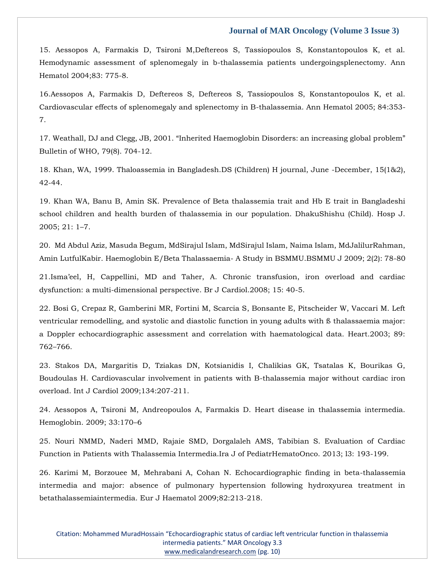[15. Aessopos A, Farmakis D, Tsironi M,Deftereos S, Tassiopoulos S, Konstantopoulos K, et al.](https://www.google.com/search?q=Hemodynamic+assessment+of+splenomegaly+in+b-thalassemia+patients+undergoingsplenectomy&sxsrf=APq-WBvagAwpuKb5l8eihsvHe2jTqp1sDA%3A1645771134073&ei=fnkYYueBBIGYseMP2q-4uAc&ved=0ahUKEwjnuM-en5r2AhUBTGwGHdoXDncQ4dUDCA4&oq=Hemodynamic+assessment+of+splenomegaly+in+b-thalassemia+patients+undergoingsplenectomy&gs_lcp=Cgdnd3Mtd2l6EAw6BwgjEOoCECdKBAhBGABKBAhGGABQvQJYvQJg_gZoAXAAeACAAakBiAGpAZIBAzAuMZgBAKABAaABArABCsABAQ&sclient=gws-wiz)  [Hemodynamic assessment of splenomegaly in b-thalassemia patients undergoingsplenectomy. Ann](https://www.google.com/search?q=Hemodynamic+assessment+of+splenomegaly+in+b-thalassemia+patients+undergoingsplenectomy&sxsrf=APq-WBvagAwpuKb5l8eihsvHe2jTqp1sDA%3A1645771134073&ei=fnkYYueBBIGYseMP2q-4uAc&ved=0ahUKEwjnuM-en5r2AhUBTGwGHdoXDncQ4dUDCA4&oq=Hemodynamic+assessment+of+splenomegaly+in+b-thalassemia+patients+undergoingsplenectomy&gs_lcp=Cgdnd3Mtd2l6EAw6BwgjEOoCECdKBAhBGABKBAhGGABQvQJYvQJg_gZoAXAAeACAAakBiAGpAZIBAzAuMZgBAKABAaABArABCsABAQ&sclient=gws-wiz)  [Hematol 2004;83: 775-8.](https://www.google.com/search?q=Hemodynamic+assessment+of+splenomegaly+in+b-thalassemia+patients+undergoingsplenectomy&sxsrf=APq-WBvagAwpuKb5l8eihsvHe2jTqp1sDA%3A1645771134073&ei=fnkYYueBBIGYseMP2q-4uAc&ved=0ahUKEwjnuM-en5r2AhUBTGwGHdoXDncQ4dUDCA4&oq=Hemodynamic+assessment+of+splenomegaly+in+b-thalassemia+patients+undergoingsplenectomy&gs_lcp=Cgdnd3Mtd2l6EAw6BwgjEOoCECdKBAhBGABKBAhGGABQvQJYvQJg_gZoAXAAeACAAakBiAGpAZIBAzAuMZgBAKABAaABArABCsABAQ&sclient=gws-wiz)

[16.Aessopos A, Farmakis D, Deftereos S, Deftereos S, Tassiopoulos S, Konstantopoulos K, et al.](https://www.google.com/search?q=Cardiovascular+effects+of+splenomegaly+and+splenectomy+in+B-thalassemia&sxsrf=APq-WBu5uvYLTgmGQaZSb5vuThIhqE3Ypg%3A1645771159088&ei=l3kYYrb5BPOQseMPpI6n0Aw&ved=0ahUKEwj2oMaqn5r2AhVzSGwGHSTHCcoQ4dUDCA4&oq=Cardiovascular+effects+of+splenomegaly+and+splenectomy+in+B-thalassemia&gs_lcp=Cgdnd3Mtd2l6EAw6BwgjEOoCECdKBAhBGABKBAhGGABQ5wJY5wJgogdoAXAAeACAAZkBiAGZAZIBAzAuMZgBAKABAaABArABCsABAQ&sclient=gws-wiz)  [Cardiovascular effects of splenomegaly and splenectomy in B-thalassemia. Ann Hematol 2005; 84:353-](https://www.google.com/search?q=Cardiovascular+effects+of+splenomegaly+and+splenectomy+in+B-thalassemia&sxsrf=APq-WBu5uvYLTgmGQaZSb5vuThIhqE3Ypg%3A1645771159088&ei=l3kYYrb5BPOQseMPpI6n0Aw&ved=0ahUKEwj2oMaqn5r2AhVzSGwGHSTHCcoQ4dUDCA4&oq=Cardiovascular+effects+of+splenomegaly+and+splenectomy+in+B-thalassemia&gs_lcp=Cgdnd3Mtd2l6EAw6BwgjEOoCECdKBAhBGABKBAhGGABQ5wJY5wJgogdoAXAAeACAAZkBiAGZAZIBAzAuMZgBAKABAaABArABCsABAQ&sclient=gws-wiz) [7.](https://www.google.com/search?q=Cardiovascular+effects+of+splenomegaly+and+splenectomy+in+B-thalassemia&sxsrf=APq-WBu5uvYLTgmGQaZSb5vuThIhqE3Ypg%3A1645771159088&ei=l3kYYrb5BPOQseMPpI6n0Aw&ved=0ahUKEwj2oMaqn5r2AhVzSGwGHSTHCcoQ4dUDCA4&oq=Cardiovascular+effects+of+splenomegaly+and+splenectomy+in+B-thalassemia&gs_lcp=Cgdnd3Mtd2l6EAw6BwgjEOoCECdKBAhBGABKBAhGGABQ5wJY5wJgogdoAXAAeACAAZkBiAGZAZIBAzAuMZgBAKABAaABArABCsABAQ&sclient=gws-wiz)

[17. Weathall, DJ and Clegg, JB, 2001. "Inherited Haemoglobin Disorders: an increasing global problem"](https://www.google.com/search?q=Inherited+Haemoglobin+Disorders%3A+an+increasing+global+problem&sxsrf=APq-WBtKy04Ex8kjoBlhFTGsgcoi7CvLnQ%3A1645771172289&ei=pHkYYuuaEfaXseMPsImx-As&ved=0ahUKEwjr_Ouwn5r2AhX2S2wGHbBEDL8Q4dUDCA4&oq=Inherited+Haemoglobin+Disorders%3A+an+increasing+global+problem&gs_lcp=Cgdnd3Mtd2l6EAwyBggAEBYQHjoHCCMQ6gIQJ0oECEEYAEoECEYYAFDzAljzAmDhDGgBcAB4AIABaogBapIBAzAuMZgBAKABAaABArABCsABAQ&sclient=gws-wiz)  [Bulletin of WHO, 79\(8\). 704-12.](https://www.google.com/search?q=Inherited+Haemoglobin+Disorders%3A+an+increasing+global+problem&sxsrf=APq-WBtKy04Ex8kjoBlhFTGsgcoi7CvLnQ%3A1645771172289&ei=pHkYYuuaEfaXseMPsImx-As&ved=0ahUKEwjr_Ouwn5r2AhX2S2wGHbBEDL8Q4dUDCA4&oq=Inherited+Haemoglobin+Disorders%3A+an+increasing+global+problem&gs_lcp=Cgdnd3Mtd2l6EAwyBggAEBYQHjoHCCMQ6gIQJ0oECEEYAEoECEYYAFDzAljzAmDhDGgBcAB4AIABaogBapIBAzAuMZgBAKABAaABArABCsABAQ&sclient=gws-wiz)

[18. Khan, WA, 1999. Thaloassemia in Bangladesh.DS \(Children\) H journal, June -December, 15\(1&2\),](https://www.google.com/search?q=Inherited+Haemoglobin+Disorders%3A+an+increasing+global+problem&sxsrf=APq-WBtKy04Ex8kjoBlhFTGsgcoi7CvLnQ%3A1645771172289&ei=pHkYYuuaEfaXseMPsImx-As&ved=0ahUKEwjr_Ouwn5r2AhX2S2wGHbBEDL8Q4dUDCA4&oq=Inherited+Haemoglobin+Disorders%3A+an+increasing+global+problem&gs_lcp=Cgdnd3Mtd2l6EAwyBggAEBYQHjoHCCMQ6gIQJ0oECEEYAEoECEYYAFDzAljzAmDhDGgBcAB4AIABaogBapIBAzAuMZgBAKABAaABArABCsABAQ&sclient=gws-wiz)  [42-44.](https://www.google.com/search?q=Inherited+Haemoglobin+Disorders%3A+an+increasing+global+problem&sxsrf=APq-WBtKy04Ex8kjoBlhFTGsgcoi7CvLnQ%3A1645771172289&ei=pHkYYuuaEfaXseMPsImx-As&ved=0ahUKEwjr_Ouwn5r2AhX2S2wGHbBEDL8Q4dUDCA4&oq=Inherited+Haemoglobin+Disorders%3A+an+increasing+global+problem&gs_lcp=Cgdnd3Mtd2l6EAwyBggAEBYQHjoHCCMQ6gIQJ0oECEEYAEoECEYYAFDzAljzAmDhDGgBcAB4AIABaogBapIBAzAuMZgBAKABAaABArABCsABAQ&sclient=gws-wiz)

[19. Khan WA, Banu B, Amin SK. Prevalence of Beta thalassemia trait and Hb E trait in Bangladeshi](https://www.google.com/search?q=Prevalence+of+Beta+thalassemia+trait+and+Hb+E+trait+in+Bangladeshi+school+children+and+health+burden+of+thalassemia+in+our+population&sxsrf=APq-WBuGuxycjGRR9xKylVd_XiQ3ufje4A%3A1645771189890&ei=tXkYYt_ANauUseMP1MeXiA0&ved=0ahUKEwif7525n5r2AhUrSmwGHdTjBdEQ4dUDCA4&oq=Prevalence+of+Beta+thalassemia+trait+and+Hb+E+trait+in+Bangladeshi+school+children+and+health+burden+of+thalassemia+in+our+population&gs_lcp=Cgdnd3Mtd2l6EAwyBwgjEOoCECcyBwgjEOoCECcyBwgjEOoCECcyBwgjEOoCECcyBwgjEOoCECcyBwgjEOoCECcyBwgjEOoCECcyBwgjEOoCECcyBwgjEOoCECcyBwgjEOoCECdKBAhBGABKBAhGGABQ3AJY3AJg_wdoAXAAeACAAQCIAQCSAQCYAQCgAQGgAQKwAQrAAQE&sclient=gws-wiz)  school children [and health burden of thalassemia in our population. DhakuShishu \(Child\). Hosp J.](https://www.google.com/search?q=Prevalence+of+Beta+thalassemia+trait+and+Hb+E+trait+in+Bangladeshi+school+children+and+health+burden+of+thalassemia+in+our+population&sxsrf=APq-WBuGuxycjGRR9xKylVd_XiQ3ufje4A%3A1645771189890&ei=tXkYYt_ANauUseMP1MeXiA0&ved=0ahUKEwif7525n5r2AhUrSmwGHdTjBdEQ4dUDCA4&oq=Prevalence+of+Beta+thalassemia+trait+and+Hb+E+trait+in+Bangladeshi+school+children+and+health+burden+of+thalassemia+in+our+population&gs_lcp=Cgdnd3Mtd2l6EAwyBwgjEOoCECcyBwgjEOoCECcyBwgjEOoCECcyBwgjEOoCECcyBwgjEOoCECcyBwgjEOoCECcyBwgjEOoCECcyBwgjEOoCECcyBwgjEOoCECcyBwgjEOoCECdKBAhBGABKBAhGGABQ3AJY3AJg_wdoAXAAeACAAQCIAQCSAQCYAQCgAQGgAQKwAQrAAQE&sclient=gws-wiz)  [2005; 21: 1](https://www.google.com/search?q=Prevalence+of+Beta+thalassemia+trait+and+Hb+E+trait+in+Bangladeshi+school+children+and+health+burden+of+thalassemia+in+our+population&sxsrf=APq-WBuGuxycjGRR9xKylVd_XiQ3ufje4A%3A1645771189890&ei=tXkYYt_ANauUseMP1MeXiA0&ved=0ahUKEwif7525n5r2AhUrSmwGHdTjBdEQ4dUDCA4&oq=Prevalence+of+Beta+thalassemia+trait+and+Hb+E+trait+in+Bangladeshi+school+children+and+health+burden+of+thalassemia+in+our+population&gs_lcp=Cgdnd3Mtd2l6EAwyBwgjEOoCECcyBwgjEOoCECcyBwgjEOoCECcyBwgjEOoCECcyBwgjEOoCECcyBwgjEOoCECcyBwgjEOoCECcyBwgjEOoCECcyBwgjEOoCECcyBwgjEOoCECdKBAhBGABKBAhGGABQ3AJY3AJg_wdoAXAAeACAAQCIAQCSAQCYAQCgAQGgAQKwAQrAAQE&sclient=gws-wiz)–7.

[20. Md Abdul Aziz, Masuda Begum, MdSirajul Islam, MdSirajul Islam, Naima Islam, MdJalilurRahman,](https://www.google.com/search?q=Haemoglobin+E%2FBeta+Thalassaemia&sxsrf=APq-WBvHJ9BNXjR-6NFbo6u5DIF6k-DqRQ%3A1645771219106&ei=03kYYvaABvaVseMPq-uNSA&ved=0ahUKEwi2tpXHn5r2AhX2SmwGHat1AwkQ4dUDCA4&oq=Haemoglobin+E%2FBeta+Thalassaemia&gs_lcp=Cgdnd3Mtd2l6EAwyBggAEBYQHjIGCAAQFhAeMgYIABAWEB4yBggAEBYQHjIGCAAQFhAeMgYIABAWEB4yBggAEBYQHjIGCAAQFhAeMgYIABAWEB46BwgjEOoCECdKBAhBGABKBAhGGABQoQNYoQNg_AZoAXABeACAAWmIAWmSAQMwLjGYAQCgAQGgAQKwAQrAAQE&sclient=gws-wiz)  Amin LutfulKabir. Haemoglobin E/Beta Thalassaemia- [A Study in BSMMU.BSMMU J 2009; 2\(2\): 78-80](https://www.google.com/search?q=Haemoglobin+E%2FBeta+Thalassaemia&sxsrf=APq-WBvHJ9BNXjR-6NFbo6u5DIF6k-DqRQ%3A1645771219106&ei=03kYYvaABvaVseMPq-uNSA&ved=0ahUKEwi2tpXHn5r2AhX2SmwGHat1AwkQ4dUDCA4&oq=Haemoglobin+E%2FBeta+Thalassaemia&gs_lcp=Cgdnd3Mtd2l6EAwyBggAEBYQHjIGCAAQFhAeMgYIABAWEB4yBggAEBYQHjIGCAAQFhAeMgYIABAWEB4yBggAEBYQHjIGCAAQFhAeMgYIABAWEB46BwgjEOoCECdKBAhBGABKBAhGGABQoQNYoQNg_AZoAXABeACAAWmIAWmSAQMwLjGYAQCgAQGgAQKwAQrAAQE&sclient=gws-wiz)

[21.Isma'eel, H, Cappellini, MD and Taher, A. Chronic transfusion, iron overload and cardiac](https://www.google.com/search?q=Chronic+transfusion%2C+iron+overload+and+cardiac+dysfunction%3A+a+multi-dimensional+perspective&sxsrf=APq-WBuQeNB53orUrX41jdpQscWIbPVN4g%3A1645771247993&ei=73kYYvnQO6CUseMP8JCPqAE&ved=0ahUKEwi5hPjUn5r2AhUgSmwGHXDIAxUQ4dUDCA4&oq=Chronic+transfusion%2C+iron+overload+and+cardiac+dysfunction%3A+a+multi-dimensional+perspective&gs_lcp=Cgdnd3Mtd2l6EAw6BwgjEOoCECdKBAhBGABKBAhGGABQmARYmARg5AloAXABeACAAbYEiAG2BJIBAzUtMZgBAKABAaABArABCsABAQ&sclient=gws-wiz)  [dysfunction: a multi-dimensional perspective. Br J Cardiol.2008; 15: 40-5.](https://www.google.com/search?q=Chronic+transfusion%2C+iron+overload+and+cardiac+dysfunction%3A+a+multi-dimensional+perspective&sxsrf=APq-WBuQeNB53orUrX41jdpQscWIbPVN4g%3A1645771247993&ei=73kYYvnQO6CUseMP8JCPqAE&ved=0ahUKEwi5hPjUn5r2AhUgSmwGHXDIAxUQ4dUDCA4&oq=Chronic+transfusion%2C+iron+overload+and+cardiac+dysfunction%3A+a+multi-dimensional+perspective&gs_lcp=Cgdnd3Mtd2l6EAw6BwgjEOoCECdKBAhBGABKBAhGGABQmARYmARg5AloAXABeACAAbYEiAG2BJIBAzUtMZgBAKABAaABArABCsABAQ&sclient=gws-wiz)

[22. Bosi G, Crepaz R, Gamberini MR, Fortini M, Scarcia S, Bonsante E, Pitscheider W, Vaccari M. Left](https://www.google.com/search?q=Left+ventricular+remodelling%2C+and+systolic+and+diastolic+function+in+young+adults+with+%C3%9F+thalassaemia+major%3A+a+Doppler+echocardiographic+assessment+and+correlation+with+haematological+data&sxsrf=APq-WBsEHEqacNNAR3CCJ5C67cDYER4v0A%3A1645771263364&ei=_3kYYtXRFYKdseMP1PqioAw&ved=0ahUKEwiVzaLcn5r2AhWCTmwGHVS9CMQQ4dUDCA4&oq=Left+ventricular+remodelling%2C+and+systolic+and+diastolic+function+in+young+adults+with+%C3%9F+thalassaemia+major%3A+a+Doppler+echocardiographic+assessment+and+correlation+with+haematological+data&gs_lcp=Cgdnd3Mtd2l6EAwyBwgjEOoCECcyBwgjEOoCECcyBwgjEOoCECcyBwgjEOoCECcyBwgjEOoCECcyBwgjEOoCECcyBwgjEOoCECcyBwgjEOoCECcyBwgjEOoCECcyBwgjEOoCECdKBAhBGABKBAhGGABQxgdYxgdgmQloAXAAeACAAQCIAQCSAQCYAQCgAQGgAQKwAQrAAQE&sclient=gws-wiz)  [ventricular remodelling, and systolic and diastolic function in young adults with ß thalassaemia major:](https://www.google.com/search?q=Left+ventricular+remodelling%2C+and+systolic+and+diastolic+function+in+young+adults+with+%C3%9F+thalassaemia+major%3A+a+Doppler+echocardiographic+assessment+and+correlation+with+haematological+data&sxsrf=APq-WBsEHEqacNNAR3CCJ5C67cDYER4v0A%3A1645771263364&ei=_3kYYtXRFYKdseMP1PqioAw&ved=0ahUKEwiVzaLcn5r2AhWCTmwGHVS9CMQQ4dUDCA4&oq=Left+ventricular+remodelling%2C+and+systolic+and+diastolic+function+in+young+adults+with+%C3%9F+thalassaemia+major%3A+a+Doppler+echocardiographic+assessment+and+correlation+with+haematological+data&gs_lcp=Cgdnd3Mtd2l6EAwyBwgjEOoCECcyBwgjEOoCECcyBwgjEOoCECcyBwgjEOoCECcyBwgjEOoCECcyBwgjEOoCECcyBwgjEOoCECcyBwgjEOoCECcyBwgjEOoCECcyBwgjEOoCECdKBAhBGABKBAhGGABQxgdYxgdgmQloAXAAeACAAQCIAQCSAQCYAQCgAQGgAQKwAQrAAQE&sclient=gws-wiz)  [a Doppler echocardiographic assessment and correlation with haematological data. Heart.2003; 89:](https://www.google.com/search?q=Left+ventricular+remodelling%2C+and+systolic+and+diastolic+function+in+young+adults+with+%C3%9F+thalassaemia+major%3A+a+Doppler+echocardiographic+assessment+and+correlation+with+haematological+data&sxsrf=APq-WBsEHEqacNNAR3CCJ5C67cDYER4v0A%3A1645771263364&ei=_3kYYtXRFYKdseMP1PqioAw&ved=0ahUKEwiVzaLcn5r2AhWCTmwGHVS9CMQQ4dUDCA4&oq=Left+ventricular+remodelling%2C+and+systolic+and+diastolic+function+in+young+adults+with+%C3%9F+thalassaemia+major%3A+a+Doppler+echocardiographic+assessment+and+correlation+with+haematological+data&gs_lcp=Cgdnd3Mtd2l6EAwyBwgjEOoCECcyBwgjEOoCECcyBwgjEOoCECcyBwgjEOoCECcyBwgjEOoCECcyBwgjEOoCECcyBwgjEOoCECcyBwgjEOoCECcyBwgjEOoCECcyBwgjEOoCECdKBAhBGABKBAhGGABQxgdYxgdgmQloAXAAeACAAQCIAQCSAQCYAQCgAQGgAQKwAQrAAQE&sclient=gws-wiz)  762–[766.](https://www.google.com/search?q=Left+ventricular+remodelling%2C+and+systolic+and+diastolic+function+in+young+adults+with+%C3%9F+thalassaemia+major%3A+a+Doppler+echocardiographic+assessment+and+correlation+with+haematological+data&sxsrf=APq-WBsEHEqacNNAR3CCJ5C67cDYER4v0A%3A1645771263364&ei=_3kYYtXRFYKdseMP1PqioAw&ved=0ahUKEwiVzaLcn5r2AhWCTmwGHVS9CMQQ4dUDCA4&oq=Left+ventricular+remodelling%2C+and+systolic+and+diastolic+function+in+young+adults+with+%C3%9F+thalassaemia+major%3A+a+Doppler+echocardiographic+assessment+and+correlation+with+haematological+data&gs_lcp=Cgdnd3Mtd2l6EAwyBwgjEOoCECcyBwgjEOoCECcyBwgjEOoCECcyBwgjEOoCECcyBwgjEOoCECcyBwgjEOoCECcyBwgjEOoCECcyBwgjEOoCECcyBwgjEOoCECcyBwgjEOoCECdKBAhBGABKBAhGGABQxgdYxgdgmQloAXAAeACAAQCIAQCSAQCYAQCgAQGgAQKwAQrAAQE&sclient=gws-wiz)

[23. Stakos DA, Margaritis D, Tziakas DN, Kotsianidis I, Chalikias GK, Tsatalas K, Bourikas G,](https://www.google.com/search?q=Cardiovascular+involvement+in+patients+with+B-thalassemia+major+without+cardiac+iron+overload&sxsrf=APq-WBs-k_HUEBBv4sUZs3lnb-t3pF38bw%3A1645771295847&ei=H3oYYseBM56SseMP7uy0wAY&ved=0ahUKEwiHjeHrn5r2AhUeSWwGHW42DWgQ4dUDCA4&oq=Cardiovascular+involvement+in+patients+with+B-thalassemia+major+without+cardiac+iron+overload&gs_lcp=Cgdnd3Mtd2l6EAw6BwgjEOoCECdKBAhBGABKBAhGGABQzgFYzgFg1wloAXABeACAAV6IAV6SAQExmAEAoAEBoAECsAEKwAEB&sclient=gws-wiz)  [Boudoulas H. Cardiovascular involvement in patients with B-thalassemia major without cardiac iron](https://www.google.com/search?q=Cardiovascular+involvement+in+patients+with+B-thalassemia+major+without+cardiac+iron+overload&sxsrf=APq-WBs-k_HUEBBv4sUZs3lnb-t3pF38bw%3A1645771295847&ei=H3oYYseBM56SseMP7uy0wAY&ved=0ahUKEwiHjeHrn5r2AhUeSWwGHW42DWgQ4dUDCA4&oq=Cardiovascular+involvement+in+patients+with+B-thalassemia+major+without+cardiac+iron+overload&gs_lcp=Cgdnd3Mtd2l6EAw6BwgjEOoCECdKBAhBGABKBAhGGABQzgFYzgFg1wloAXABeACAAV6IAV6SAQExmAEAoAEBoAECsAEKwAEB&sclient=gws-wiz)  [overload. Int J Cardiol 2009;134:207-211.](https://www.google.com/search?q=Cardiovascular+involvement+in+patients+with+B-thalassemia+major+without+cardiac+iron+overload&sxsrf=APq-WBs-k_HUEBBv4sUZs3lnb-t3pF38bw%3A1645771295847&ei=H3oYYseBM56SseMP7uy0wAY&ved=0ahUKEwiHjeHrn5r2AhUeSWwGHW42DWgQ4dUDCA4&oq=Cardiovascular+involvement+in+patients+with+B-thalassemia+major+without+cardiac+iron+overload&gs_lcp=Cgdnd3Mtd2l6EAw6BwgjEOoCECdKBAhBGABKBAhGGABQzgFYzgFg1wloAXABeACAAV6IAV6SAQExmAEAoAEBoAECsAEKwAEB&sclient=gws-wiz)

24. Aessopos A, Tsironi [M, Andreopoulos A, Farmakis D. Heart disease in thalassemia intermedia.](https://www.google.com/search?q=Heart+disease+in+thalassemia+intermedia&sxsrf=APq-WBti8j6YR2W-ePQguEl2vxPsl5XhPA%3A1645771311089&ei=L3oYYqXTBNehseMPxtGwYA&ved=0ahUKEwjlpoPzn5r2AhXXUGwGHcYoDAwQ4dUDCA4&oq=Heart+disease+in+thalassemia+intermedia&gs_lcp=Cgdnd3Mtd2l6EAwyBAgjECc6BwgjEOoCECdKBAhBGABKBAhGGABQ_QNY_QNghwhoAXAAeACAAWqIAWqSAQMwLjGYAQCgAQGgAQKwAQrAAQE&sclient=gws-wiz)  [Hemoglobin. 2009; 33:170](https://www.google.com/search?q=Heart+disease+in+thalassemia+intermedia&sxsrf=APq-WBti8j6YR2W-ePQguEl2vxPsl5XhPA%3A1645771311089&ei=L3oYYqXTBNehseMPxtGwYA&ved=0ahUKEwjlpoPzn5r2AhXXUGwGHcYoDAwQ4dUDCA4&oq=Heart+disease+in+thalassemia+intermedia&gs_lcp=Cgdnd3Mtd2l6EAwyBAgjECc6BwgjEOoCECdKBAhBGABKBAhGGABQ_QNY_QNghwhoAXAAeACAAWqIAWqSAQMwLjGYAQCgAQGgAQKwAQrAAQE&sclient=gws-wiz)–6

[25. Nouri NMMD, Naderi MMD, Rajaie SMD, Dorgalaleh AMS, Tabibian S. Evaluation of Cardiac](https://www.google.com/search?q=Evaluation+of+Cardiac+Function+in+Patients+with+Thalassemia+Intermedia&sxsrf=APq-WBshknuMOsds3G2ExqZh5aUISNmt8A%3A1645771372531&ei=bHoYYqmBIOWgseMPh82a8AU&ved=0ahUKEwip56mQoJr2AhVlUGwGHYemBl4Q4dUDCA4&oq=Evaluation+of+Cardiac+Function+in+Patients+with+Thalassemia+Intermedia&gs_lcp=Cgdnd3Mtd2l6EAw6BwgjEOoCECdKBAhBGABKBAhGGABQ4QRY4QRg3QpoAXABeACAAZUEiAGVBJIBAzUtMZgBAKABAaABArABCsABAQ&sclient=gws-wiz)  [Function in Patients with Thalassemia Intermedia.Ira J of PediatrHematoOnco. 2013; l3: 193-199.](https://www.google.com/search?q=Evaluation+of+Cardiac+Function+in+Patients+with+Thalassemia+Intermedia&sxsrf=APq-WBshknuMOsds3G2ExqZh5aUISNmt8A%3A1645771372531&ei=bHoYYqmBIOWgseMPh82a8AU&ved=0ahUKEwip56mQoJr2AhVlUGwGHYemBl4Q4dUDCA4&oq=Evaluation+of+Cardiac+Function+in+Patients+with+Thalassemia+Intermedia&gs_lcp=Cgdnd3Mtd2l6EAw6BwgjEOoCECdKBAhBGABKBAhGGABQ4QRY4QRg3QpoAXABeACAAZUEiAGVBJIBAzUtMZgBAKABAaABArABCsABAQ&sclient=gws-wiz)

[26. Karimi M, Borzouee M, Mehrabani A, Cohan N. Echocardiographic finding in beta-thalassemia](https://www.google.com/search?q=Echocardiographic+finding+in+beta-thalassemia+intermedia+and+major%3A+absence+of+pulmonary+hypertension+following+hydroxyurea+treatment+in+betathalassemiaintermedia&sxsrf=APq-WBv3p_zzjzlJTvM6KBdxC6HV8KL0cA%3A1645771388262&ei=fHoYYpasD-KXseMP2oCJqAs&ved=0ahUKEwiW2umXoJr2AhXiS2wGHVpAArUQ4dUDCA4&oq=Echocardiographic+finding+in+beta-thalassemia+intermedia+and+major%3A+absence+of+pulmonary+hypertension+following+hydroxyurea+treatment+in+betathalassemiaintermedia&gs_lcp=Cgdnd3Mtd2l6EAwyBwgjEOoCECcyBwgjEOoCECcyBwgjEOoCECcyBwgjEOoCECcyBwgjEOoCECcyBwgjEOoCECcyBwgjEOoCECcyBwgjEOoCECcyBwgjEOoCECcyBwgjEOoCECdKBAhBGABKBAhGGABQpgFYpgFg3AdoAXAAeACAAQCIAQCSAQCYAQCgAQGgAQKwAQrAAQE&sclient=gws-wiz)  [intermedia and major: absence of pulmonary hypertension following hydroxyurea treatment in](https://www.google.com/search?q=Echocardiographic+finding+in+beta-thalassemia+intermedia+and+major%3A+absence+of+pulmonary+hypertension+following+hydroxyurea+treatment+in+betathalassemiaintermedia&sxsrf=APq-WBv3p_zzjzlJTvM6KBdxC6HV8KL0cA%3A1645771388262&ei=fHoYYpasD-KXseMP2oCJqAs&ved=0ahUKEwiW2umXoJr2AhXiS2wGHVpAArUQ4dUDCA4&oq=Echocardiographic+finding+in+beta-thalassemia+intermedia+and+major%3A+absence+of+pulmonary+hypertension+following+hydroxyurea+treatment+in+betathalassemiaintermedia&gs_lcp=Cgdnd3Mtd2l6EAwyBwgjEOoCECcyBwgjEOoCECcyBwgjEOoCECcyBwgjEOoCECcyBwgjEOoCECcyBwgjEOoCECcyBwgjEOoCECcyBwgjEOoCECcyBwgjEOoCECcyBwgjEOoCECdKBAhBGABKBAhGGABQpgFYpgFg3AdoAXAAeACAAQCIAQCSAQCYAQCgAQGgAQKwAQrAAQE&sclient=gws-wiz)  [betathalassemiaintermedia. Eur J Haematol 2009;82:213-218.](https://www.google.com/search?q=Echocardiographic+finding+in+beta-thalassemia+intermedia+and+major%3A+absence+of+pulmonary+hypertension+following+hydroxyurea+treatment+in+betathalassemiaintermedia&sxsrf=APq-WBv3p_zzjzlJTvM6KBdxC6HV8KL0cA%3A1645771388262&ei=fHoYYpasD-KXseMP2oCJqAs&ved=0ahUKEwiW2umXoJr2AhXiS2wGHVpAArUQ4dUDCA4&oq=Echocardiographic+finding+in+beta-thalassemia+intermedia+and+major%3A+absence+of+pulmonary+hypertension+following+hydroxyurea+treatment+in+betathalassemiaintermedia&gs_lcp=Cgdnd3Mtd2l6EAwyBwgjEOoCECcyBwgjEOoCECcyBwgjEOoCECcyBwgjEOoCECcyBwgjEOoCECcyBwgjEOoCECcyBwgjEOoCECcyBwgjEOoCECcyBwgjEOoCECcyBwgjEOoCECdKBAhBGABKBAhGGABQpgFYpgFg3AdoAXAAeACAAQCIAQCSAQCYAQCgAQGgAQKwAQrAAQE&sclient=gws-wiz)

Citation: Mohammed MuradHossain "Echocardiographic status of cardiac left ventricular function in thalassemia intermedia patients." MAR Oncology 3.3 [www.medicalandresearch.com](http://www.medicalandresearch.com/) (pg. 10)